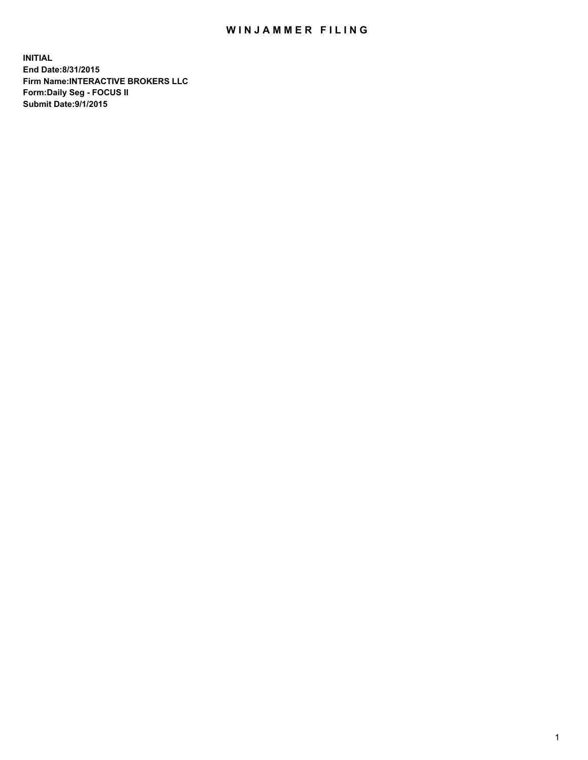## WIN JAMMER FILING

**INITIAL End Date:8/31/2015 Firm Name:INTERACTIVE BROKERS LLC Form:Daily Seg - FOCUS II Submit Date:9/1/2015**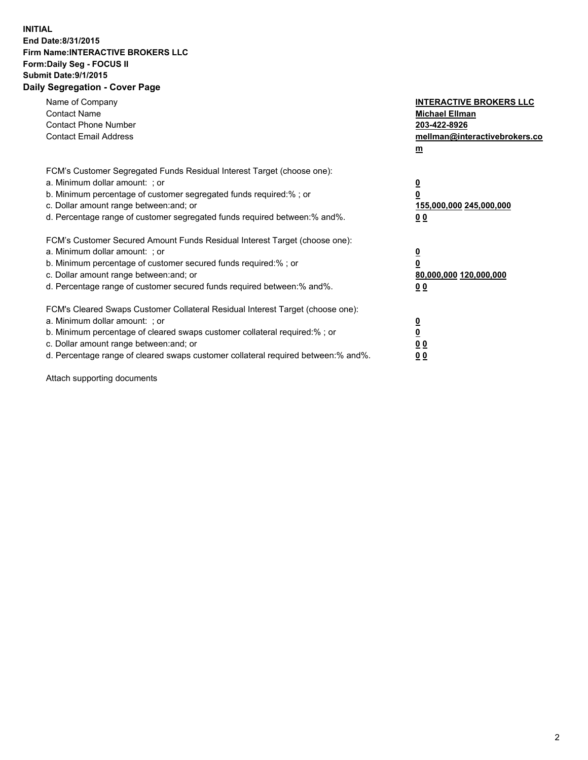## **INITIAL End Date:8/31/2015 Firm Name:INTERACTIVE BROKERS LLC Form:Daily Seg - FOCUS II Submit Date:9/1/2015 Daily Segregation - Cover Page**

| Name of Company<br><b>Contact Name</b><br><b>Contact Phone Number</b><br><b>Contact Email Address</b>                                                                                                                                                                                                                          | <b>INTERACTIVE BROKERS LLC</b><br><b>Michael Ellman</b><br>203-422-8926<br>mellman@interactivebrokers.co<br>$\underline{\mathbf{m}}$ |
|--------------------------------------------------------------------------------------------------------------------------------------------------------------------------------------------------------------------------------------------------------------------------------------------------------------------------------|--------------------------------------------------------------------------------------------------------------------------------------|
| FCM's Customer Segregated Funds Residual Interest Target (choose one):<br>a. Minimum dollar amount: ; or<br>b. Minimum percentage of customer segregated funds required:%; or<br>c. Dollar amount range between: and; or<br>d. Percentage range of customer segregated funds required between:% and%.                          | $\overline{\mathbf{0}}$<br>$\overline{\mathbf{0}}$<br>155,000,000 245,000,000<br>00                                                  |
| FCM's Customer Secured Amount Funds Residual Interest Target (choose one):<br>a. Minimum dollar amount: ; or<br>b. Minimum percentage of customer secured funds required:%; or<br>c. Dollar amount range between: and; or<br>d. Percentage range of customer secured funds required between: % and %.                          | $\overline{\mathbf{0}}$<br>$\mathbf 0$<br>80,000,000 120,000,000<br>00                                                               |
| FCM's Cleared Swaps Customer Collateral Residual Interest Target (choose one):<br>a. Minimum dollar amount: ; or<br>b. Minimum percentage of cleared swaps customer collateral required:% ; or<br>c. Dollar amount range between: and; or<br>d. Percentage range of cleared swaps customer collateral required between:% and%. | $\overline{\mathbf{0}}$<br>$\overline{\mathbf{0}}$<br>0 <sub>0</sub><br>0 <sub>0</sub>                                               |

Attach supporting documents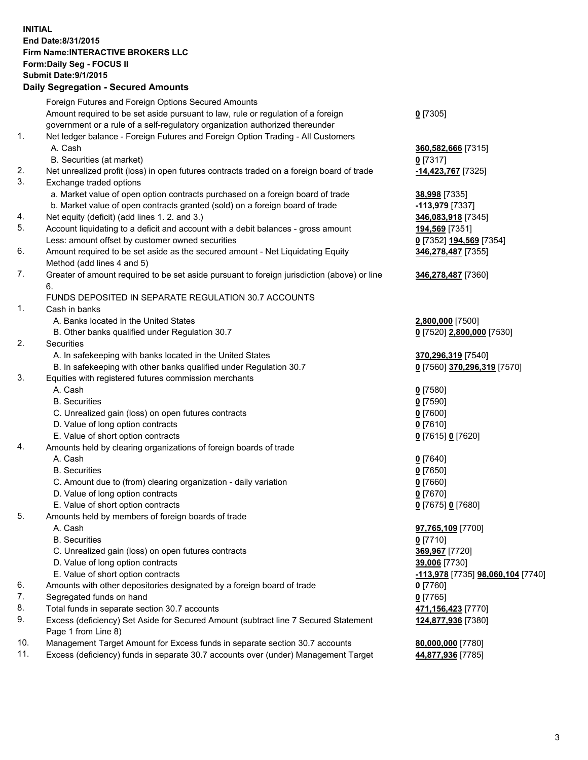## **INITIAL End Date:8/31/2015 Firm Name:INTERACTIVE BROKERS LLC Form:Daily Seg - FOCUS II Submit Date:9/1/2015 Daily Segregation - Secured Amounts**

|     | Foreign Futures and Foreign Options Secured Amounts                                                        |                                   |
|-----|------------------------------------------------------------------------------------------------------------|-----------------------------------|
|     | Amount required to be set aside pursuant to law, rule or regulation of a foreign                           | $0$ [7305]                        |
|     | government or a rule of a self-regulatory organization authorized thereunder                               |                                   |
| 1.  | Net ledger balance - Foreign Futures and Foreign Option Trading - All Customers                            |                                   |
|     | A. Cash                                                                                                    | 360,582,666 [7315]                |
|     | B. Securities (at market)                                                                                  | $0$ [7317]                        |
| 2.  | Net unrealized profit (loss) in open futures contracts traded on a foreign board of trade                  | -14,423,767 [7325]                |
| 3.  | Exchange traded options                                                                                    |                                   |
|     | a. Market value of open option contracts purchased on a foreign board of trade                             | 38,998 [7335]                     |
|     | b. Market value of open contracts granted (sold) on a foreign board of trade                               | -113,979 [7337]                   |
| 4.  | Net equity (deficit) (add lines 1.2. and 3.)                                                               | 346,083,918 [7345]                |
| 5.  | Account liquidating to a deficit and account with a debit balances - gross amount                          | 194,569 [7351]                    |
|     | Less: amount offset by customer owned securities                                                           | 0 [7352] 194,569 [7354]           |
| 6.  | Amount required to be set aside as the secured amount - Net Liquidating Equity                             | 346,278,487 [7355]                |
|     | Method (add lines 4 and 5)                                                                                 |                                   |
| 7.  | Greater of amount required to be set aside pursuant to foreign jurisdiction (above) or line                | 346,278,487 [7360]                |
|     | 6.                                                                                                         |                                   |
|     | FUNDS DEPOSITED IN SEPARATE REGULATION 30.7 ACCOUNTS                                                       |                                   |
| 1.  | Cash in banks                                                                                              |                                   |
|     | A. Banks located in the United States                                                                      | 2,800,000 [7500]                  |
|     | B. Other banks qualified under Regulation 30.7                                                             | 0 [7520] 2,800,000 [7530]         |
| 2.  | Securities                                                                                                 |                                   |
|     | A. In safekeeping with banks located in the United States                                                  | 370,296,319 [7540]                |
|     | B. In safekeeping with other banks qualified under Regulation 30.7                                         | 0 [7560] 370,296,319 [7570]       |
| 3.  | Equities with registered futures commission merchants                                                      |                                   |
|     | A. Cash                                                                                                    | $0$ [7580]                        |
|     | <b>B.</b> Securities                                                                                       | $0$ [7590]                        |
|     | C. Unrealized gain (loss) on open futures contracts                                                        | $0$ [7600]                        |
|     | D. Value of long option contracts                                                                          | $0$ [7610]                        |
|     | E. Value of short option contracts                                                                         | 0 [7615] 0 [7620]                 |
| 4.  | Amounts held by clearing organizations of foreign boards of trade                                          |                                   |
|     | A. Cash                                                                                                    | $0$ [7640]                        |
|     | <b>B.</b> Securities                                                                                       | $0$ [7650]                        |
|     | C. Amount due to (from) clearing organization - daily variation                                            | $0$ [7660]                        |
|     | D. Value of long option contracts                                                                          | $0$ [7670]                        |
|     | E. Value of short option contracts                                                                         | 0 [7675] 0 [7680]                 |
| 5.  | Amounts held by members of foreign boards of trade                                                         |                                   |
|     | A. Cash                                                                                                    | 97,765,109 [7700]                 |
|     | <b>B.</b> Securities                                                                                       | $0$ [7710]                        |
|     | C. Unrealized gain (loss) on open futures contracts                                                        | 369,967 [7720]                    |
|     | D. Value of long option contracts                                                                          | 39,006 [7730]                     |
|     | E. Value of short option contracts                                                                         | -113,978 [7735] 98,060,104 [7740] |
| 6.  | Amounts with other depositories designated by a foreign board of trade                                     | $0$ [7760]                        |
| 7.  | Segregated funds on hand                                                                                   | $0$ [7765]                        |
| 8.  | Total funds in separate section 30.7 accounts                                                              | 471,156,423 [7770]                |
| 9.  | Excess (deficiency) Set Aside for Secured Amount (subtract line 7 Secured Statement<br>Page 1 from Line 8) | 124,877,936 [7380]                |
| 10. | Management Target Amount for Excess funds in separate section 30.7 accounts                                | 80,000,000 [7780]                 |
| 11. | Excess (deficiency) funds in separate 30.7 accounts over (under) Management Target                         | 44,877,936 [7785]                 |
|     |                                                                                                            |                                   |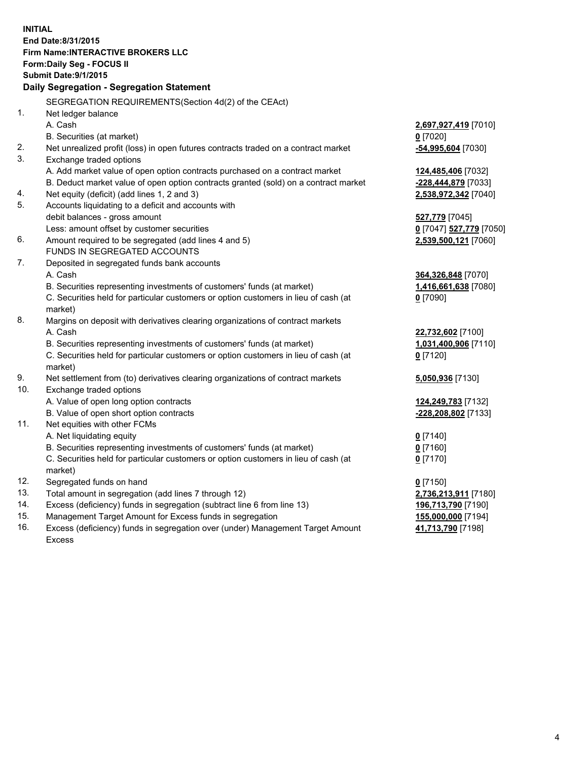**INITIAL End Date:8/31/2015 Firm Name:INTERACTIVE BROKERS LLC Form:Daily Seg - FOCUS II Submit Date:9/1/2015 Daily Segregation - Segregation Statement** SEGREGATION REQUIREMENTS(Section 4d(2) of the CEAct) 1. Net ledger balance A. Cash **2,697,927,419** [7010] B. Securities (at market) **0** [7020] 2. Net unrealized profit (loss) in open futures contracts traded on a contract market **-54,995,604** [7030] 3. Exchange traded options A. Add market value of open option contracts purchased on a contract market **124,485,406** [7032] B. Deduct market value of open option contracts granted (sold) on a contract market **-228,444,879** [7033] 4. Net equity (deficit) (add lines 1, 2 and 3) **2,538,972,342** [7040] 5. Accounts liquidating to a deficit and accounts with debit balances - gross amount **527,779** [7045] Less: amount offset by customer securities **0** [7047] **527,779** [7050] 6. Amount required to be segregated (add lines 4 and 5) **2,539,500,121** [7060] FUNDS IN SEGREGATED ACCOUNTS 7. Deposited in segregated funds bank accounts A. Cash **364,326,848** [7070] B. Securities representing investments of customers' funds (at market) **1,416,661,638** [7080] C. Securities held for particular customers or option customers in lieu of cash (at market) **0** [7090] 8. Margins on deposit with derivatives clearing organizations of contract markets A. Cash **22,732,602** [7100] B. Securities representing investments of customers' funds (at market) **1,031,400,906** [7110] C. Securities held for particular customers or option customers in lieu of cash (at market) **0** [7120] 9. Net settlement from (to) derivatives clearing organizations of contract markets **5,050,936** [7130] 10. Exchange traded options A. Value of open long option contracts **124,249,783** [7132] B. Value of open short option contracts **-228,208,802** [7133] 11. Net equities with other FCMs A. Net liquidating equity **0** [7140] B. Securities representing investments of customers' funds (at market) **0** [7160] C. Securities held for particular customers or option customers in lieu of cash (at market) **0** [7170] 12. Segregated funds on hand **0** [7150] 13. Total amount in segregation (add lines 7 through 12) **2,736,213,911** [7180] 14. Excess (deficiency) funds in segregation (subtract line 6 from line 13) **196,713,790** [7190] 15. Management Target Amount for Excess funds in segregation **155,000,000** [7194] **41,713,790** [7198]

16. Excess (deficiency) funds in segregation over (under) Management Target Amount Excess